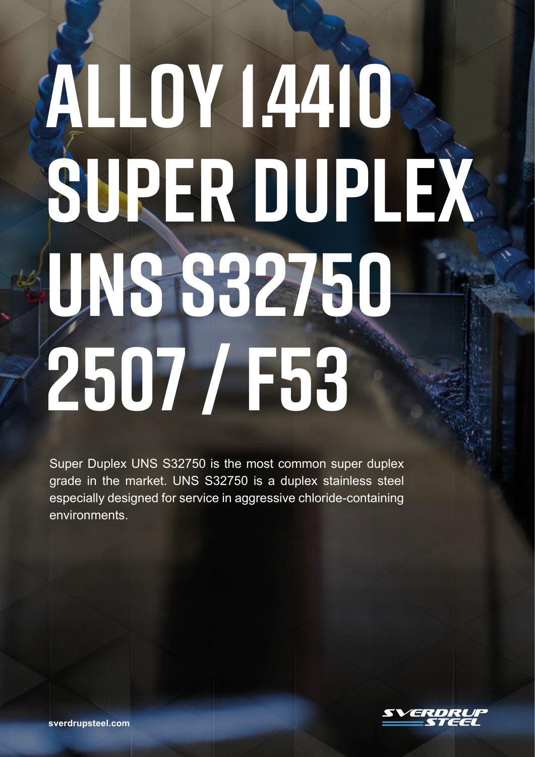# **ALLOY 1.4410 SUPER DUPLEX UNS S32750 2507 / F53**

Super Duplex UNS S32750 is the most common super duplex grade in the market. UNS S32750 is a duplex stainless steel especially designed for service in aggressive chloride-containing environments.

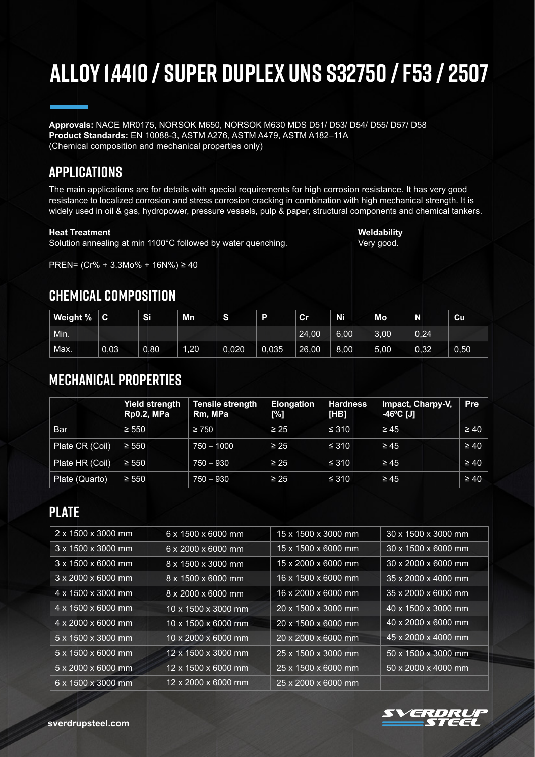# **ALLOY 1.4410 / SUPER DUPLEX UNS S32750 / F53 / 2507**

**Approvals:** NACE MR0175, NORSOK M650, NORSOK M630 MDS D51/ D53/ D54/ D55/ D57/ D58 **Product Standards:** EN 10088-3, ASTM A276, ASTM A479, ASTM A182–11A (Chemical composition and mechanical properties only)

#### **APPLICATIONS**

The main applications are for details with special requirements for high corrosion resistance. It has very good resistance to localized corrosion and stress corrosion cracking in combination with high mechanical strength. It is widely used in oil & gas, hydropower, pressure vessels, pulp & paper, structural components and chemical tankers.

#### **Heat Treatment**

Solution annealing at min 1100°C followed by water quenching.

**Weldability** Very good.

PREN= (Cr% + 3.3Mo% + 16N%) ≥ 40

#### **CHEMICAL COMPOSITION**

| Weight % | $\sim$<br>◡ | Sī   | <b>Mn</b> | S     | D     | Cr    | Ni   | <b>Mo</b> | N    | cu   |
|----------|-------------|------|-----------|-------|-------|-------|------|-----------|------|------|
| Min.     |             |      |           |       |       | 24,00 | 6,00 | 3,00      | 0,24 |      |
| Max.     | 0,03        | 0,80 | 1,20      | 0,020 | 0,035 | 26,00 | 8,00 | 5,00      | 0,32 | 0,50 |

#### **MECHANICAL PROPERTIES**

|                 | <b>Yield strength</b><br>Rp0.2, MPa | <b>Tensile strength</b><br>Rm, MPa | <b>Elongation</b><br>[%] | <b>Hardness</b><br>[HB] | Impact, Charpy-V,<br>-46°C [J] | Pre       |
|-----------------|-------------------------------------|------------------------------------|--------------------------|-------------------------|--------------------------------|-----------|
| Bar             | $\geq 550$                          | $\geq 750$                         | $\geq 25$                | $\leq 310$              | $\geq 45$                      | $\geq 40$ |
| Plate CR (Coil) | $\geq 550$                          | $750 - 1000$                       | $\geq 25$                | $\leq 310$              | $\geq 45$                      | $\geq 40$ |
| Plate HR (Coil) | $\geq 550$                          | $750 - 930$                        | $\geq 25$                | $\leq 310$              | $\geq 45$                      | $\geq 40$ |
| Plate (Quarto)  | $\geq 550$                          | $750 - 930$                        | $\geq 25$                | $\leq 310$              | $\geq 45$                      | $\geq 40$ |

#### **PLATE**

| 2 x 1500 x 3000 mm             | 6 x 1500 x 6000 mm              | 15 x 1500 x 3000 mm | 30 x 1500 x 3000 mm |
|--------------------------------|---------------------------------|---------------------|---------------------|
| 3 x 1500 x 3000 mm             | $6 \times 2000 \times 6000$ mm  | 15 x 1500 x 6000 mm | 30 x 1500 x 6000 mm |
| 3 x 1500 x 6000 mm             | 8 x 1500 x 3000 mm              | 15 x 2000 x 6000 mm | 30 x 2000 x 6000 mm |
| $3 \times 2000 \times 6000$ mm | 8 x 1500 x 6000 mm              | 16 x 1500 x 6000 mm | 35 x 2000 x 4000 mm |
| 4 x 1500 x 3000 mm             | 8 x 2000 x 6000 mm              | 16 x 2000 x 6000 mm | 35 x 2000 x 6000 mm |
| 4 x 1500 x 6000 mm             | 10 x 1500 x 3000 mm             | 20 x 1500 x 3000 mm | 40 x 1500 x 3000 mm |
| 4 x 2000 x 6000 mm             | $10 \times 1500 \times 6000$ mm | 20 x 1500 x 6000 mm | 40 x 2000 x 6000 mm |
| 5 x 1500 x 3000 mm             | $10 \times 2000 \times 6000$ mm | 20 x 2000 x 6000 mm | 45 x 2000 x 4000 mm |
| 5 x 1500 x 6000 mm             | 12 x 1500 x 3000 mm             | 25 x 1500 x 3000 mm | 50 x 1500 x 3000 mm |
| $5 \times 2000 \times 6000$ mm | 12 x 1500 x 6000 mm             | 25 x 1500 x 6000 mm | 50 x 2000 x 4000 mm |
| 6 x 1500 x 3000 mm             | 12 x 2000 x 6000 mm             | 25 x 2000 x 6000 mm |                     |
|                                |                                 |                     |                     |